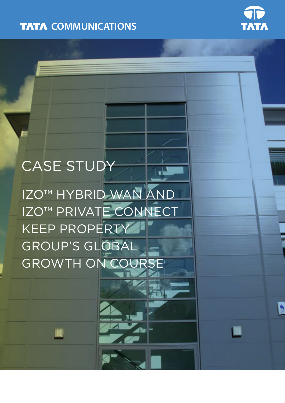**TATA COMMUNICATIONS** 



W

# CASE STUDY

IZO™ HYBRID WAN AND IZO™ PRIVATE CONNECT KEEP PROPERTY GROUP'S GLOBAL GROWTH ON COURS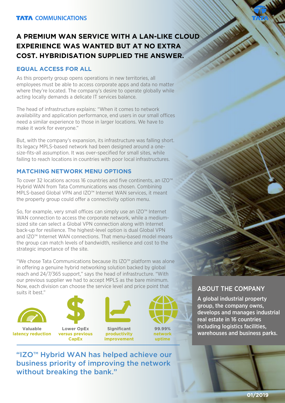## **A PREMIUM WAN SERVICE WITH A LAN-LIKE CLOUD EXPERIENCE WAS WANTED BUT AT NO EXTRA COST. HYBRIDISATION SUPPLIED THE ANSWER.**

#### **EQUAL ACCESS FOR ALL**

As this property group opens operations in new territories, all employees must be able to access corporate apps and data no matter where they're located. The company's desire to operate globally while acting locally demands a delicate IT services balance.

The head of infrastructure explains: "When it comes to network availability and application performance, end users in our small offices need a similar experience to those in larger locations. We have to make it work for everyone."

But, with the company's expansion, its infrastructure was falling short. Its legacy MPLS-based network had been designed around a onesize-fits-all assumption. It was over-specified for small sites, while failing to reach locations in countries with poor local infrastructures.

### **MATCHING NETWORK MENU OPTIONS**

To cover 32 locations across 16 countries and five continents, an IZO™ Hybrid WAN from Tata Communications was chosen. Combining MPLS-based Global VPN and IZO™ Internet WAN services, it meant the property group could offer a connectivity option menu.

So, for example, very small offices can simply use an IZO<sup>™</sup> Internet WAN connection to access the corporate network, while a mediumsized site can select a Global VPN connection along with Internet back-up for resilience. The highest-level option is dual Global VPN and IZO™ Internet WAN connections. That menu-based model means the group can match levels of bandwidth, resilience and cost to the strategic importance of the site.

"We chose Tata Communications because its IZO™ platform was alone in offering a genuine hybrid networking solution backed by global reach and 24/7/365 support," says the head of infrastructure. "With our previous supplier we had to accept MPLS as the bare minimum. Now, each division can choose the service level and price point that **ABOUT THE COMPANY**<br>suits it best."





**Valuable latency reduction**

**Lower OpEx versus previous** 

**CapEx**





**99.99% network uptime**

A global industrial property group, the company owns, develops and manages industrial real estate in 16 countries including logistics facilities, warehouses and business parks.

"IZO™ Hybrid WAN has helped achieve our business priority of improving the network without breaking the bank."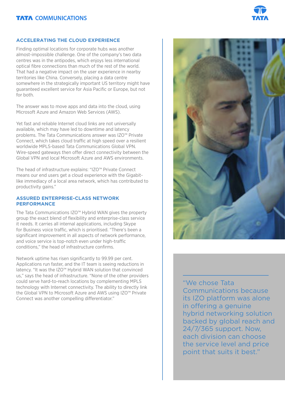#### **TATA COMMUNICATIONS**



#### **ACCELERATING THE CLOUD EXPERIENCE**

Finding optimal locations for corporate hubs was another almost-impossible challenge. One of the company's two data centres was in the antipodes, which enjoys less international optical fibre connections than much of the rest of the world. That had a negative impact on the user experience in nearby territories like China. Conversely, placing a data centre somewhere in the strategically important US territory might have guaranteed excellent service for Asia Pacific or Europe, but not for both.

The answer was to move apps and data into the cloud, using Microsoft Azure and Amazon Web Services (AWS).

Yet fast and reliable Internet cloud links are not universally available, which may have led to downtime and latency problems. The Tata Communications answer was IZO™ Private Connect, which takes cloud traffic at high speed over a resilient worldwide MPLS-based Tata Communications Global VPN. Wire-speed gateways then offer direct connectivity between the Global VPN and local Microsoft Azure and AWS environments.

The head of infrastructure explains: "IZO™ Private Connect means our end users get a cloud experience with the Gigabitlike immediacy of a local area network, which has contributed to productivity gains."

#### **ASSURED ENTERPRISE-CLASS NETWORK PERFORMANCE**

The Tata Communications IZO™ Hybrid WAN gives the property group the exact blend of flexibility and enterprise-class service it needs. It carries all internal applications, including Skype for Business voice traffic, which is prioritised. "There's been a significant improvement in all aspects of network performance, and voice service is top-notch even under high-traffic conditions," the head of infrastructure confirms.

Network uptime has risen significantly to 99.99 per cent. Applications run faster, and the IT team is seeing reductions in latency. "It was the IZO™ Hybrid WAN solution that convinced us," says the head of infrastructure. "None of the other providers could serve hard-to-reach locations by complementing MPLS technology with Internet connectivity. The ability to directly link the Global VPN to Microsoft Azure and AWS using IZO™ Private Connect was another compelling differentiator."



"We chose Tata Communications because its IZO platform was alone in offering a genuine hybrid networking solution backed by global reach and 24/7/365 support. Now, each division can choose the service level and price point that suits it best."